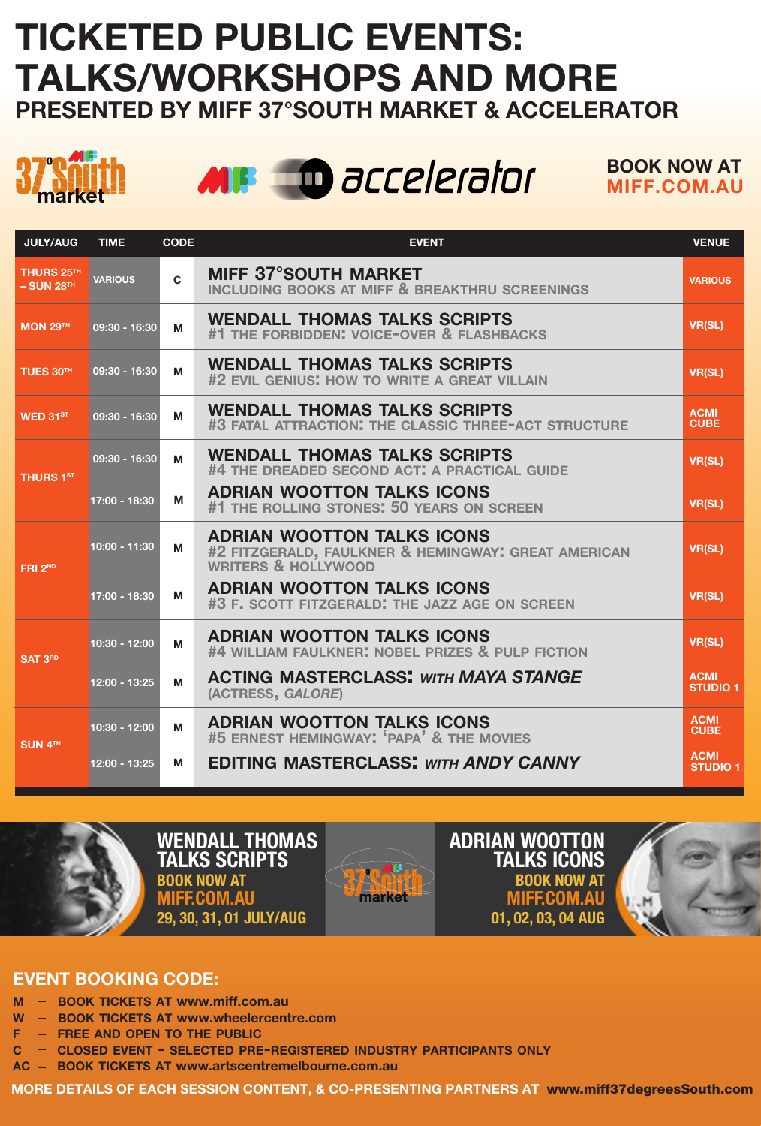## TICKETED PUBLIC EVENTS: TALKS/WORKSHOPS AND MORE PRESENTED BY MIFF 37°SOUTH MARKET & ACCELERATOR





BOOK NOW AT MIFF.COM.AU

| <b>JULY/AUG</b>                        | <b>TIME</b>          | CODE         | <b>EVENT</b>                                                                                                        | <b>VENUE</b>                       |
|----------------------------------------|----------------------|--------------|---------------------------------------------------------------------------------------------------------------------|------------------------------------|
| THURS 25TH<br>$-$ SUN 28 <sup>TH</sup> | <b>VARIOUS</b>       | $\mathbf{C}$ | MIFF 37°SOUTH MARKET<br>INCLUDING BOOKS AT MIFF & BREAKTHRU SCREENINGS                                              | <b>VARIOUS</b>                     |
| <b>MON 29TH</b>                        | 09:30 - 16:30        | М            | <b>WENDALL THOMAS TALKS SCRIPTS</b><br>#1 THE FORBIDDEN: VOICE-OVER & FLASHBACKS                                    | <b>VR(SL)</b>                      |
| TUES 30TH                              | 09:30 - 16:30        | м            | <b>WENDALL THOMAS TALKS SCRIPTS</b><br>#2 EVIL GENIUS: HOW TO WRITE A GREAT VILLAIN                                 | <b>VR(SL)</b>                      |
| WED 31ST                               | 09:30 - 16:30        | М            | <b>WENDALL THOMAS TALKS SCRIPTS</b><br>#3 FATAL ATTRACTION: THE CLASSIC THREE-ACT STRUCTURE                         | <b>ACMI</b><br><b>CUBE</b>         |
| <b>THURS 1ST</b>                       | $09:30 - 16:30$      | М            | <b>WENDALL THOMAS TALKS SCRIPTS</b><br>#4 THE DREADED SECOND ACT: A PRACTICAL GUIDE                                 | <b>VR(SL)</b>                      |
|                                        | $17:00 - 18:30$      | M            | ADRIAN WOOTTON TALKS ICONS<br>#1 THE ROLLING STONES: 50 YEARS ON SCREEN                                             | <b>VR(SL)</b>                      |
| FRI <sub>2ND</sub>                     | $10:00 - 11:30$<br>м |              | ADRIAN WOOTTON TALKS ICONS<br>#2 FITZGERALD, FAULKNER & HEMINGWAY: GREAT AMERICAN<br><b>WRITERS &amp; HOLLYWOOD</b> | <b>VR(SL)</b>                      |
|                                        | $17:00 - 18:30$      | M            | ADRIAN WOOTTON TALKS ICONS<br>#3 F. SCOTT FITZGERALD: THE JAZZ AGE ON SCREEN                                        | <b>VR(SL)</b>                      |
| SAT 3 <sup>RD</sup>                    | 10:30 - 12:00        | м            | ADRIAN WOOTTON TALKS ICONS<br>#4 WILLIAM FAULKNER: NOBEL PRIZES & PULP FICTION                                      | <b>VR(SL)</b>                      |
|                                        | $12:00 - 13:25$      | м            | <b>ACTING MASTERCLASS: WITH MAYA STANGE</b><br>(ACTRESS, GALORE)                                                    | <b>ACMI</b><br>STUDIO <sub>1</sub> |
| SUN 4TH                                | 10:30 - 12:00        | м            | ADRIAN WOOTTON TALKS ICONS<br>#5 ERNEST HEMINGWAY: 'PAPA' & THE MOVIES                                              | <b>ACMI</b><br><b>CUBE</b>         |
|                                        | 12:00 - 13:25        | M            | <b>EDITING MASTERCLASS: WITH ANDY CANNY</b>                                                                         | <b>ACMI</b><br><b>STUDIO 1</b>     |



## EVENT BOOKING CODE:

- BOOK TICKETS AT www.miff.com.au
- W BOOK TICKETS AT www.wheelercentre.com
- FREE AND OPEN TO THE PUBLIC
- c closed event selected pre-registered industry participants only
- AC BOOK TICKETS AT www.artscentremelbourne.com.au

MORE DETAILS OF EACH SESSION CONTENT, & CO-PRESENTING PARTNERS AT www.miff37degreesSouth.com